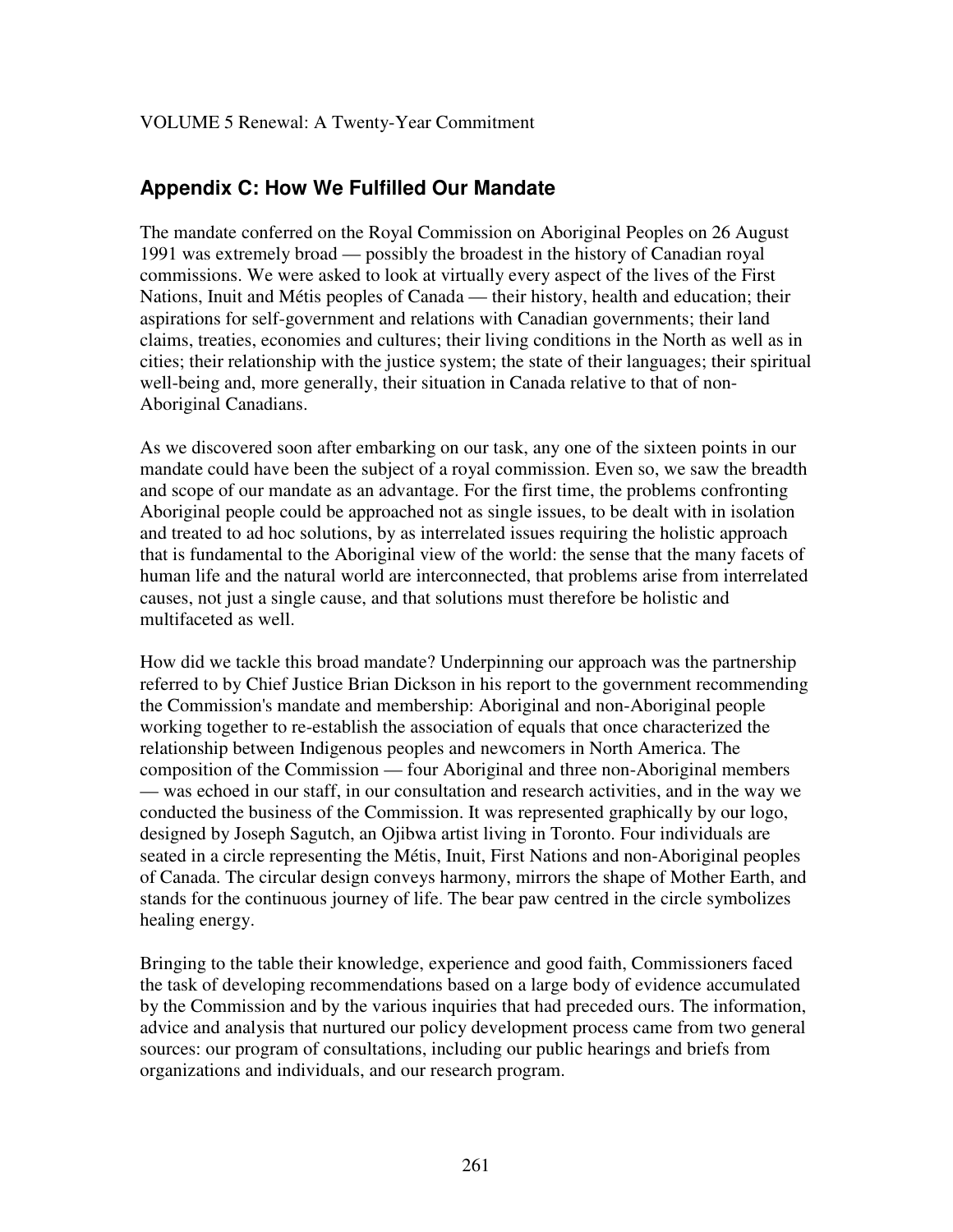# **Appendix C: How We Fulfilled Our Mandate**

The mandate conferred on the Royal Commission on Aboriginal Peoples on 26 August 1991 was extremely broad — possibly the broadest in the history of Canadian royal commissions. We were asked to look at virtually every aspect of the lives of the First Nations, Inuit and Métis peoples of Canada — their history, health and education; their aspirations for self-government and relations with Canadian governments; their land claims, treaties, economies and cultures; their living conditions in the North as well as in cities; their relationship with the justice system; the state of their languages; their spiritual well-being and, more generally, their situation in Canada relative to that of non-Aboriginal Canadians.

As we discovered soon after embarking on our task, any one of the sixteen points in our mandate could have been the subject of a royal commission. Even so, we saw the breadth and scope of our mandate as an advantage. For the first time, the problems confronting Aboriginal people could be approached not as single issues, to be dealt with in isolation and treated to ad hoc solutions, by as interrelated issues requiring the holistic approach that is fundamental to the Aboriginal view of the world: the sense that the many facets of human life and the natural world are interconnected, that problems arise from interrelated causes, not just a single cause, and that solutions must therefore be holistic and multifaceted as well.

How did we tackle this broad mandate? Underpinning our approach was the partnership referred to by Chief Justice Brian Dickson in his report to the government recommending the Commission's mandate and membership: Aboriginal and non-Aboriginal people working together to re-establish the association of equals that once characterized the relationship between Indigenous peoples and newcomers in North America. The composition of the Commission — four Aboriginal and three non-Aboriginal members — was echoed in our staff, in our consultation and research activities, and in the way we conducted the business of the Commission. It was represented graphically by our logo, designed by Joseph Sagutch, an Ojibwa artist living in Toronto. Four individuals are seated in a circle representing the Métis, Inuit, First Nations and non-Aboriginal peoples of Canada. The circular design conveys harmony, mirrors the shape of Mother Earth, and stands for the continuous journey of life. The bear paw centred in the circle symbolizes healing energy.

Bringing to the table their knowledge, experience and good faith, Commissioners faced the task of developing recommendations based on a large body of evidence accumulated by the Commission and by the various inquiries that had preceded ours. The information, advice and analysis that nurtured our policy development process came from two general sources: our program of consultations, including our public hearings and briefs from organizations and individuals, and our research program.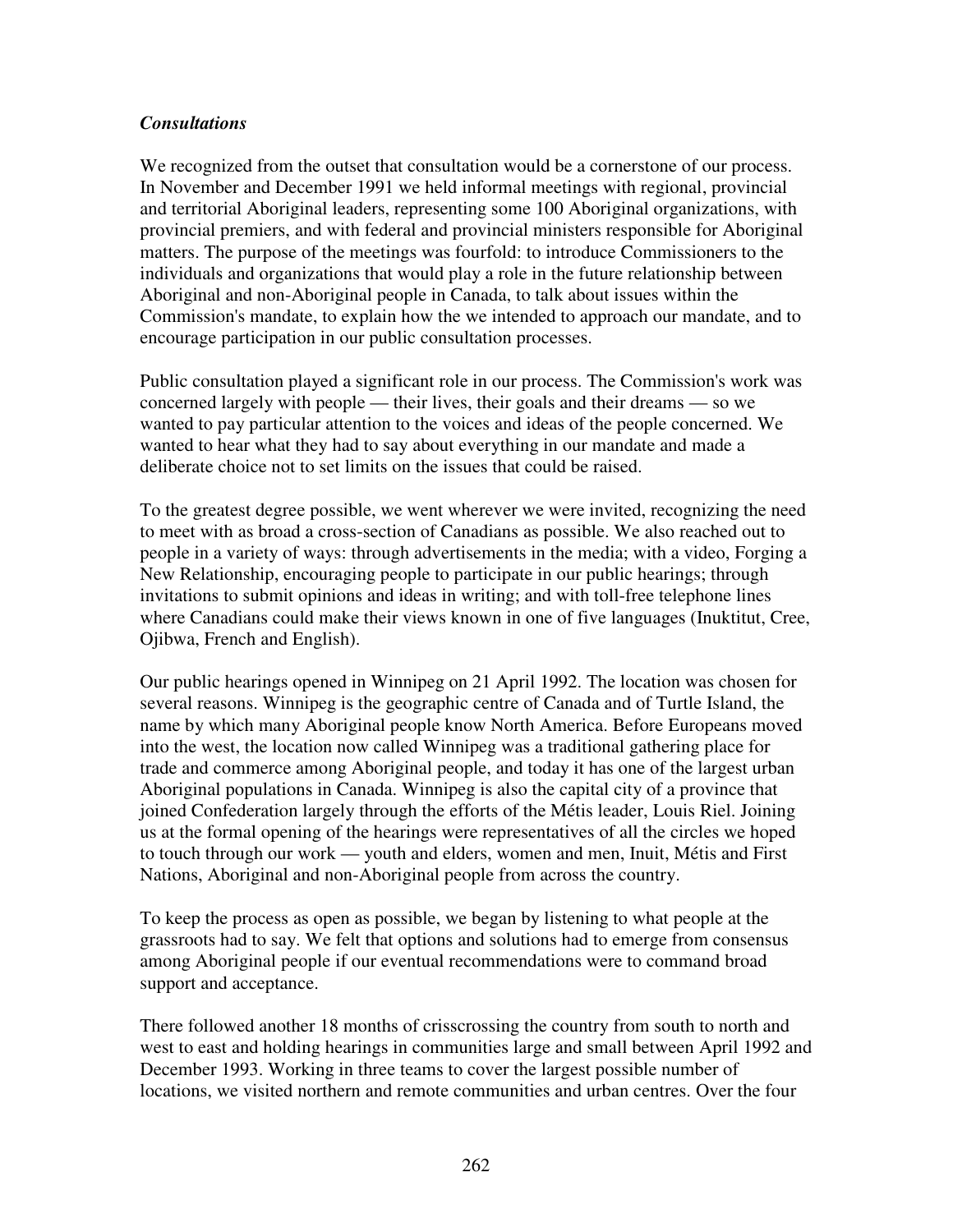#### *Consultations*

We recognized from the outset that consultation would be a cornerstone of our process. In November and December 1991 we held informal meetings with regional, provincial and territorial Aboriginal leaders, representing some 100 Aboriginal organizations, with provincial premiers, and with federal and provincial ministers responsible for Aboriginal matters. The purpose of the meetings was fourfold: to introduce Commissioners to the individuals and organizations that would play a role in the future relationship between Aboriginal and non-Aboriginal people in Canada, to talk about issues within the Commission's mandate, to explain how the we intended to approach our mandate, and to encourage participation in our public consultation processes.

Public consultation played a significant role in our process. The Commission's work was concerned largely with people — their lives, their goals and their dreams — so we wanted to pay particular attention to the voices and ideas of the people concerned. We wanted to hear what they had to say about everything in our mandate and made a deliberate choice not to set limits on the issues that could be raised.

To the greatest degree possible, we went wherever we were invited, recognizing the need to meet with as broad a cross-section of Canadians as possible. We also reached out to people in a variety of ways: through advertisements in the media; with a video, Forging a New Relationship, encouraging people to participate in our public hearings; through invitations to submit opinions and ideas in writing; and with toll-free telephone lines where Canadians could make their views known in one of five languages (Inuktitut, Cree, Ojibwa, French and English).

Our public hearings opened in Winnipeg on 21 April 1992. The location was chosen for several reasons. Winnipeg is the geographic centre of Canada and of Turtle Island, the name by which many Aboriginal people know North America. Before Europeans moved into the west, the location now called Winnipeg was a traditional gathering place for trade and commerce among Aboriginal people, and today it has one of the largest urban Aboriginal populations in Canada. Winnipeg is also the capital city of a province that joined Confederation largely through the efforts of the Métis leader, Louis Riel. Joining us at the formal opening of the hearings were representatives of all the circles we hoped to touch through our work — youth and elders, women and men, Inuit, Métis and First Nations, Aboriginal and non-Aboriginal people from across the country.

To keep the process as open as possible, we began by listening to what people at the grassroots had to say. We felt that options and solutions had to emerge from consensus among Aboriginal people if our eventual recommendations were to command broad support and acceptance.

There followed another 18 months of crisscrossing the country from south to north and west to east and holding hearings in communities large and small between April 1992 and December 1993. Working in three teams to cover the largest possible number of locations, we visited northern and remote communities and urban centres. Over the four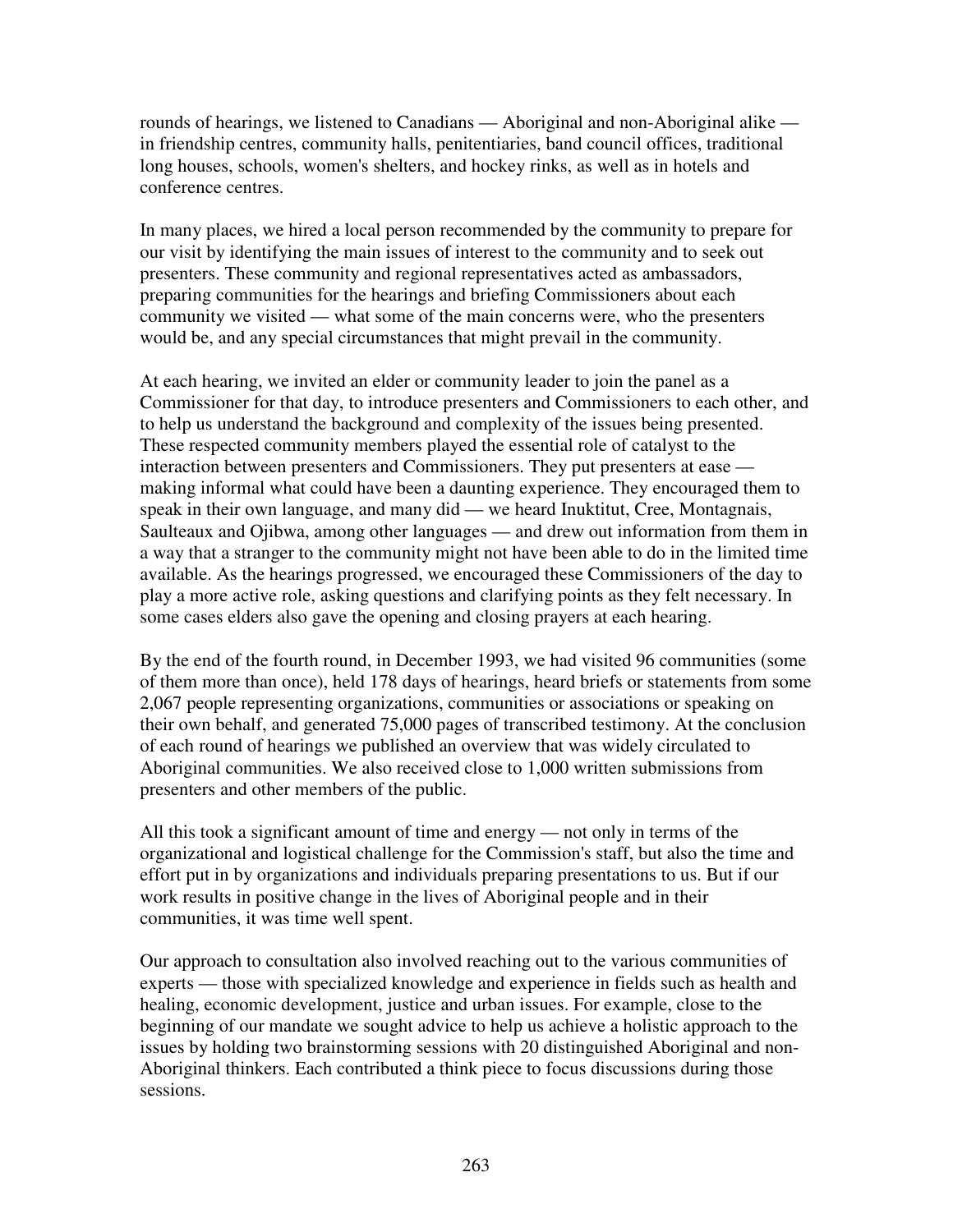rounds of hearings, we listened to Canadians — Aboriginal and non-Aboriginal alike in friendship centres, community halls, penitentiaries, band council offices, traditional long houses, schools, women's shelters, and hockey rinks, as well as in hotels and conference centres.

In many places, we hired a local person recommended by the community to prepare for our visit by identifying the main issues of interest to the community and to seek out presenters. These community and regional representatives acted as ambassadors, preparing communities for the hearings and briefing Commissioners about each community we visited — what some of the main concerns were, who the presenters would be, and any special circumstances that might prevail in the community.

At each hearing, we invited an elder or community leader to join the panel as a Commissioner for that day, to introduce presenters and Commissioners to each other, and to help us understand the background and complexity of the issues being presented. These respected community members played the essential role of catalyst to the interaction between presenters and Commissioners. They put presenters at ease making informal what could have been a daunting experience. They encouraged them to speak in their own language, and many did — we heard Inuktitut, Cree, Montagnais, Saulteaux and Ojibwa, among other languages — and drew out information from them in a way that a stranger to the community might not have been able to do in the limited time available. As the hearings progressed, we encouraged these Commissioners of the day to play a more active role, asking questions and clarifying points as they felt necessary. In some cases elders also gave the opening and closing prayers at each hearing.

By the end of the fourth round, in December 1993, we had visited 96 communities (some of them more than once), held 178 days of hearings, heard briefs or statements from some 2,067 people representing organizations, communities or associations or speaking on their own behalf, and generated 75,000 pages of transcribed testimony. At the conclusion of each round of hearings we published an overview that was widely circulated to Aboriginal communities. We also received close to 1,000 written submissions from presenters and other members of the public.

All this took a significant amount of time and energy — not only in terms of the organizational and logistical challenge for the Commission's staff, but also the time and effort put in by organizations and individuals preparing presentations to us. But if our work results in positive change in the lives of Aboriginal people and in their communities, it was time well spent.

Our approach to consultation also involved reaching out to the various communities of experts — those with specialized knowledge and experience in fields such as health and healing, economic development, justice and urban issues. For example, close to the beginning of our mandate we sought advice to help us achieve a holistic approach to the issues by holding two brainstorming sessions with 20 distinguished Aboriginal and non-Aboriginal thinkers. Each contributed a think piece to focus discussions during those sessions.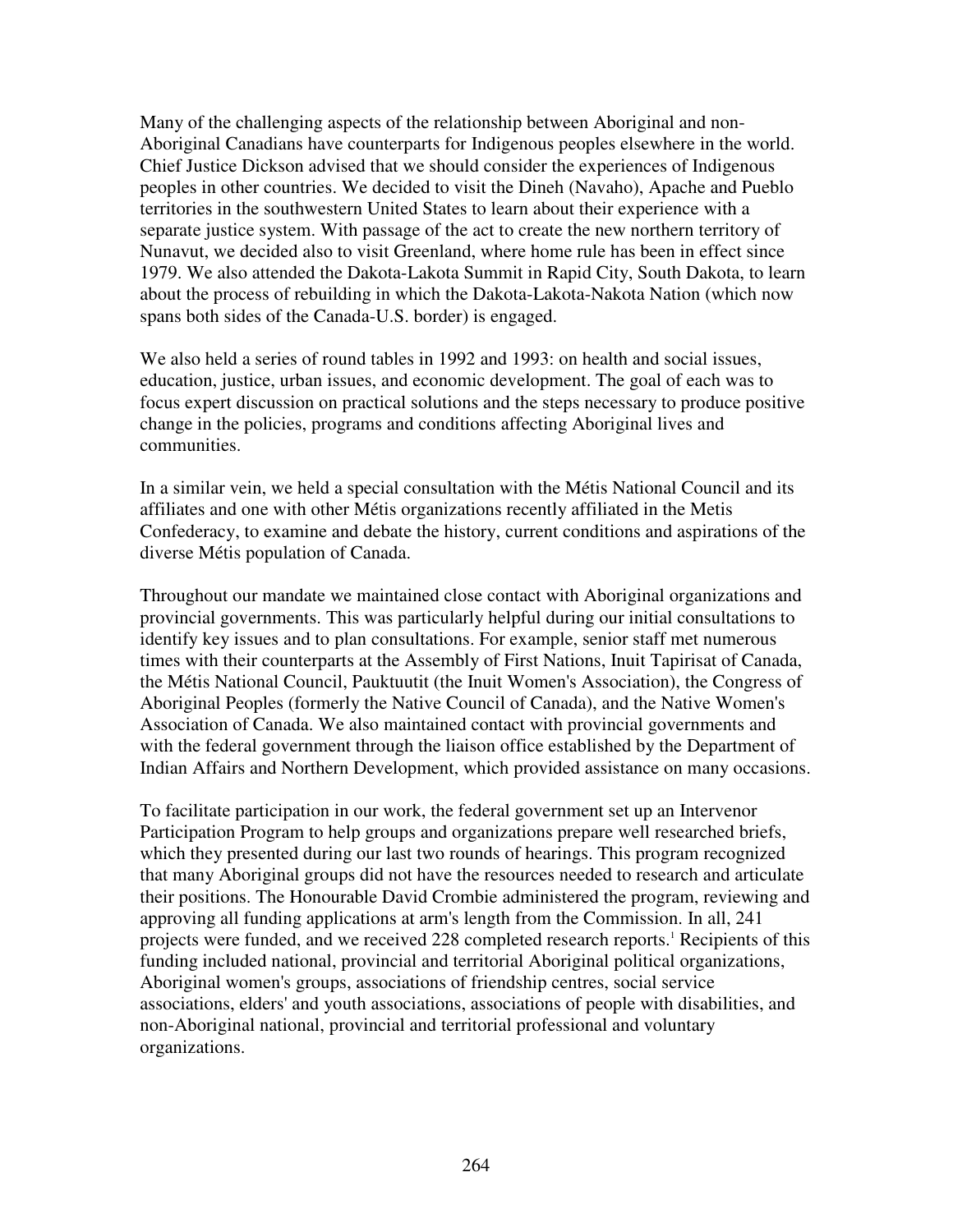Many of the challenging aspects of the relationship between Aboriginal and non-Aboriginal Canadians have counterparts for Indigenous peoples elsewhere in the world. Chief Justice Dickson advised that we should consider the experiences of Indigenous peoples in other countries. We decided to visit the Dineh (Navaho), Apache and Pueblo territories in the southwestern United States to learn about their experience with a separate justice system. With passage of the act to create the new northern territory of Nunavut, we decided also to visit Greenland, where home rule has been in effect since 1979. We also attended the Dakota-Lakota Summit in Rapid City, South Dakota, to learn about the process of rebuilding in which the Dakota-Lakota-Nakota Nation (which now spans both sides of the Canada-U.S. border) is engaged.

We also held a series of round tables in 1992 and 1993: on health and social issues, education, justice, urban issues, and economic development. The goal of each was to focus expert discussion on practical solutions and the steps necessary to produce positive change in the policies, programs and conditions affecting Aboriginal lives and communities.

In a similar vein, we held a special consultation with the Métis National Council and its affiliates and one with other Métis organizations recently affiliated in the Metis Confederacy, to examine and debate the history, current conditions and aspirations of the diverse Métis population of Canada.

Throughout our mandate we maintained close contact with Aboriginal organizations and provincial governments. This was particularly helpful during our initial consultations to identify key issues and to plan consultations. For example, senior staff met numerous times with their counterparts at the Assembly of First Nations, Inuit Tapirisat of Canada, the Métis National Council, Pauktuutit (the Inuit Women's Association), the Congress of Aboriginal Peoples (formerly the Native Council of Canada), and the Native Women's Association of Canada. We also maintained contact with provincial governments and with the federal government through the liaison office established by the Department of Indian Affairs and Northern Development, which provided assistance on many occasions.

To facilitate participation in our work, the federal government set up an Intervenor Participation Program to help groups and organizations prepare well researched briefs, which they presented during our last two rounds of hearings. This program recognized that many Aboriginal groups did not have the resources needed to research and articulate their positions. The Honourable David Crombie administered the program, reviewing and approving all funding applications at arm's length from the Commission. In all, 241 projects were funded, and we received 228 completed research reports. <sup>1</sup> Recipients of this funding included national, provincial and territorial Aboriginal political organizations, Aboriginal women's groups, associations of friendship centres, social service associations, elders' and youth associations, associations of people with disabilities, and non-Aboriginal national, provincial and territorial professional and voluntary organizations.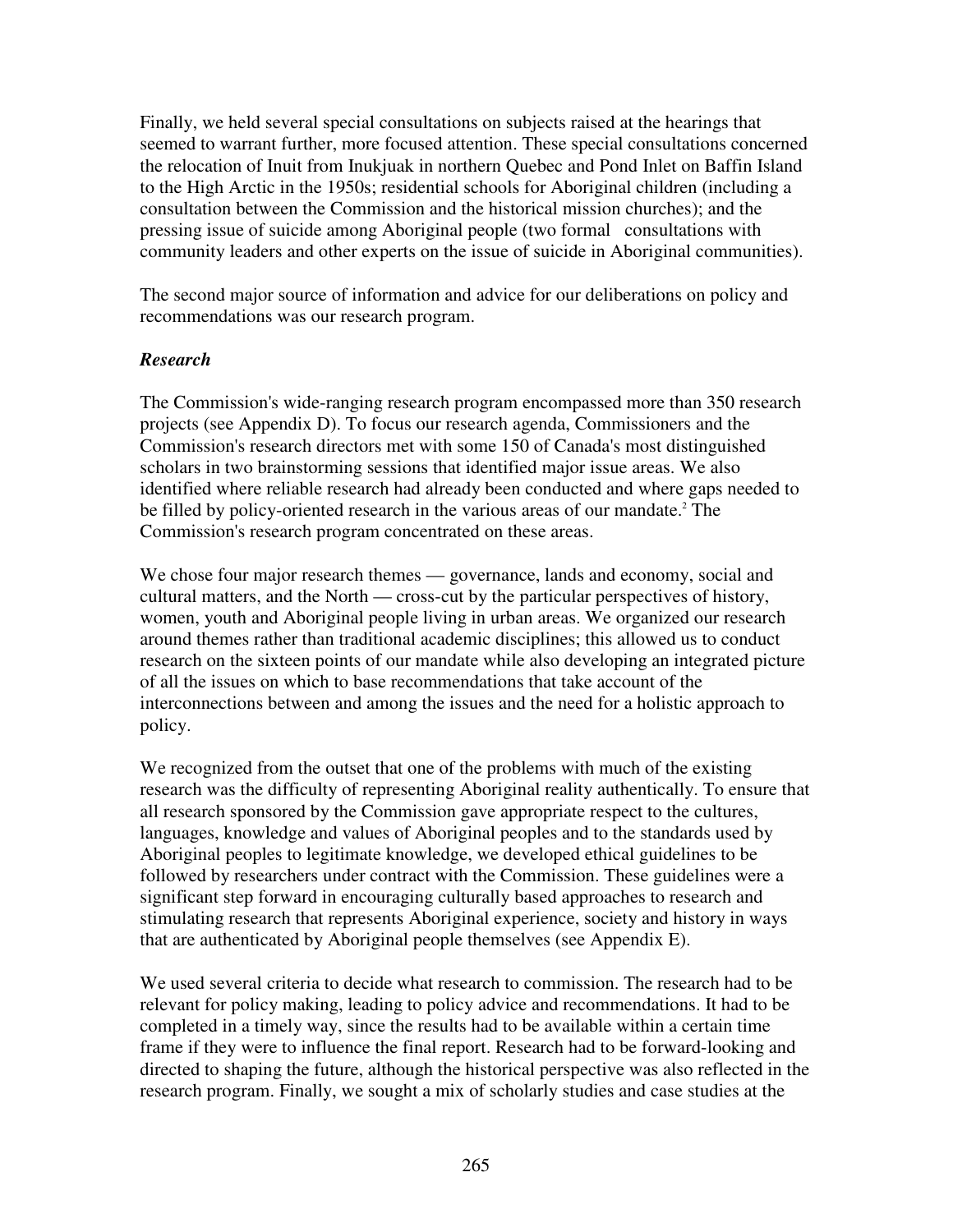Finally, we held several special consultations on subjects raised at the hearings that seemed to warrant further, more focused attention. These special consultations concerned the relocation of Inuit from Inukjuak in northern Quebec and Pond Inlet on Baffin Island to the High Arctic in the 1950s; residential schools for Aboriginal children (including a consultation between the Commission and the historical mission churches); and the pressing issue of suicide among Aboriginal people (two formal consultations with community leaders and other experts on the issue of suicide in Aboriginal communities).

The second major source of information and advice for our deliberations on policy and recommendations was our research program.

## *Research*

The Commission's wide-ranging research program encompassed more than 350 research projects (see Appendix D). To focus our research agenda, Commissioners and the Commission's research directors met with some 150 of Canada's most distinguished scholars in two brainstorming sessions that identified major issue areas. We also identified where reliable research had already been conducted and where gaps needed to be filled by policy-oriented research in the various areas of our mandate. <sup>2</sup> The Commission's research program concentrated on these areas.

We chose four major research themes — governance, lands and economy, social and cultural matters, and the North — cross-cut by the particular perspectives of history, women, youth and Aboriginal people living in urban areas. We organized our research around themes rather than traditional academic disciplines; this allowed us to conduct research on the sixteen points of our mandate while also developing an integrated picture of all the issues on which to base recommendations that take account of the interconnections between and among the issues and the need for a holistic approach to policy.

We recognized from the outset that one of the problems with much of the existing research was the difficulty of representing Aboriginal reality authentically. To ensure that all research sponsored by the Commission gave appropriate respect to the cultures, languages, knowledge and values of Aboriginal peoples and to the standards used by Aboriginal peoples to legitimate knowledge, we developed ethical guidelines to be followed by researchers under contract with the Commission. These guidelines were a significant step forward in encouraging culturally based approaches to research and stimulating research that represents Aboriginal experience, society and history in ways that are authenticated by Aboriginal people themselves (see Appendix E).

We used several criteria to decide what research to commission. The research had to be relevant for policy making, leading to policy advice and recommendations. It had to be completed in a timely way, since the results had to be available within a certain time frame if they were to influence the final report. Research had to be forward-looking and directed to shaping the future, although the historical perspective was also reflected in the research program. Finally, we sought a mix of scholarly studies and case studies at the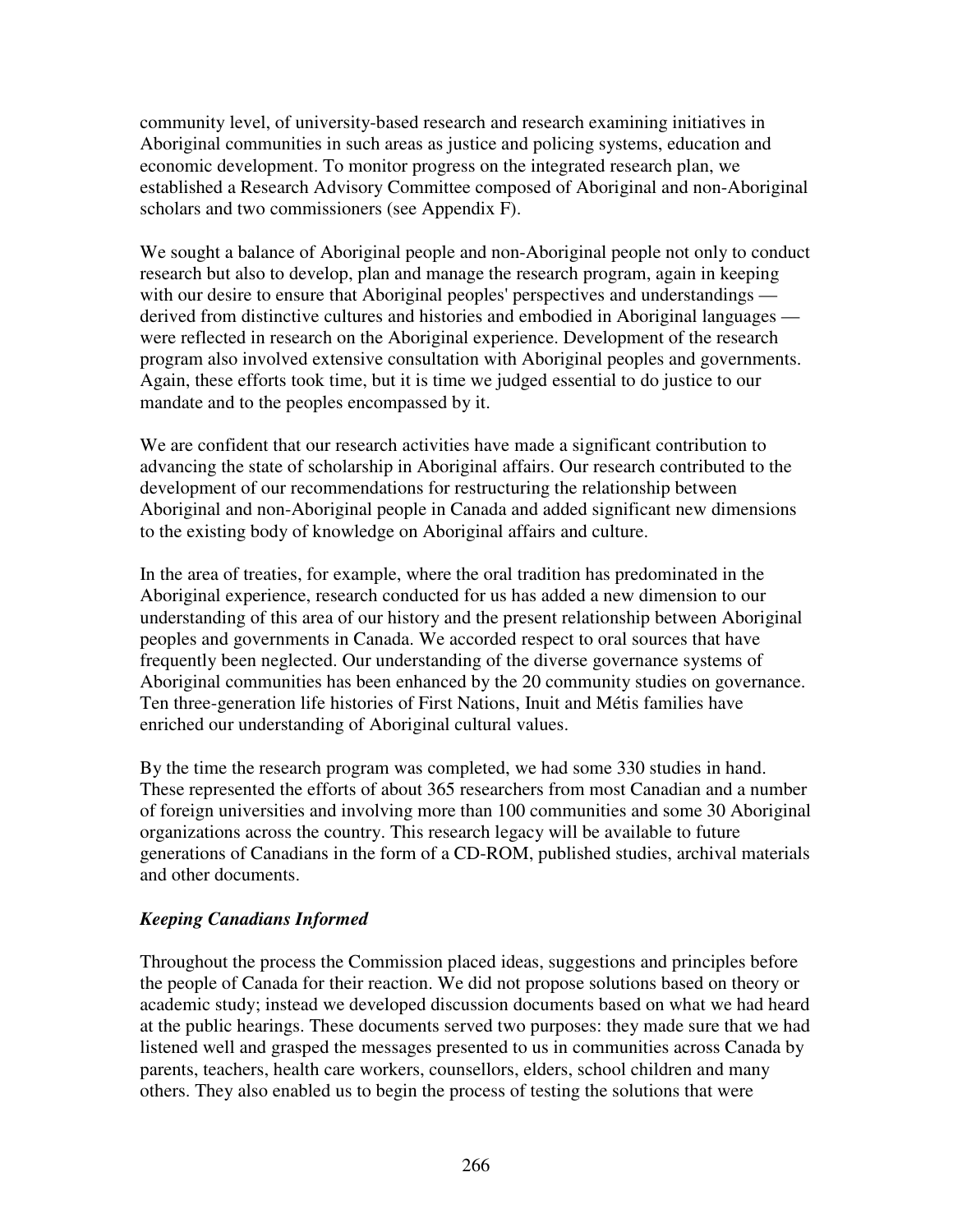community level, of university-based research and research examining initiatives in Aboriginal communities in such areas as justice and policing systems, education and economic development. To monitor progress on the integrated research plan, we established a Research Advisory Committee composed of Aboriginal and non-Aboriginal scholars and two commissioners (see Appendix F).

We sought a balance of Aboriginal people and non-Aboriginal people not only to conduct research but also to develop, plan and manage the research program, again in keeping with our desire to ensure that Aboriginal peoples' perspectives and understandings derived from distinctive cultures and histories and embodied in Aboriginal languages were reflected in research on the Aboriginal experience. Development of the research program also involved extensive consultation with Aboriginal peoples and governments. Again, these efforts took time, but it is time we judged essential to do justice to our mandate and to the peoples encompassed by it.

We are confident that our research activities have made a significant contribution to advancing the state of scholarship in Aboriginal affairs. Our research contributed to the development of our recommendations for restructuring the relationship between Aboriginal and non-Aboriginal people in Canada and added significant new dimensions to the existing body of knowledge on Aboriginal affairs and culture.

In the area of treaties, for example, where the oral tradition has predominated in the Aboriginal experience, research conducted for us has added a new dimension to our understanding of this area of our history and the present relationship between Aboriginal peoples and governments in Canada. We accorded respect to oral sources that have frequently been neglected. Our understanding of the diverse governance systems of Aboriginal communities has been enhanced by the 20 community studies on governance. Ten three-generation life histories of First Nations, Inuit and Métis families have enriched our understanding of Aboriginal cultural values.

By the time the research program was completed, we had some 330 studies in hand. These represented the efforts of about 365 researchers from most Canadian and a number of foreign universities and involving more than 100 communities and some 30 Aboriginal organizations across the country. This research legacy will be available to future generations of Canadians in the form of a CD-ROM, published studies, archival materials and other documents.

## *Keeping Canadians Informed*

Throughout the process the Commission placed ideas, suggestions and principles before the people of Canada for their reaction. We did not propose solutions based on theory or academic study; instead we developed discussion documents based on what we had heard at the public hearings. These documents served two purposes: they made sure that we had listened well and grasped the messages presented to us in communities across Canada by parents, teachers, health care workers, counsellors, elders, school children and many others. They also enabled us to begin the process of testing the solutions that were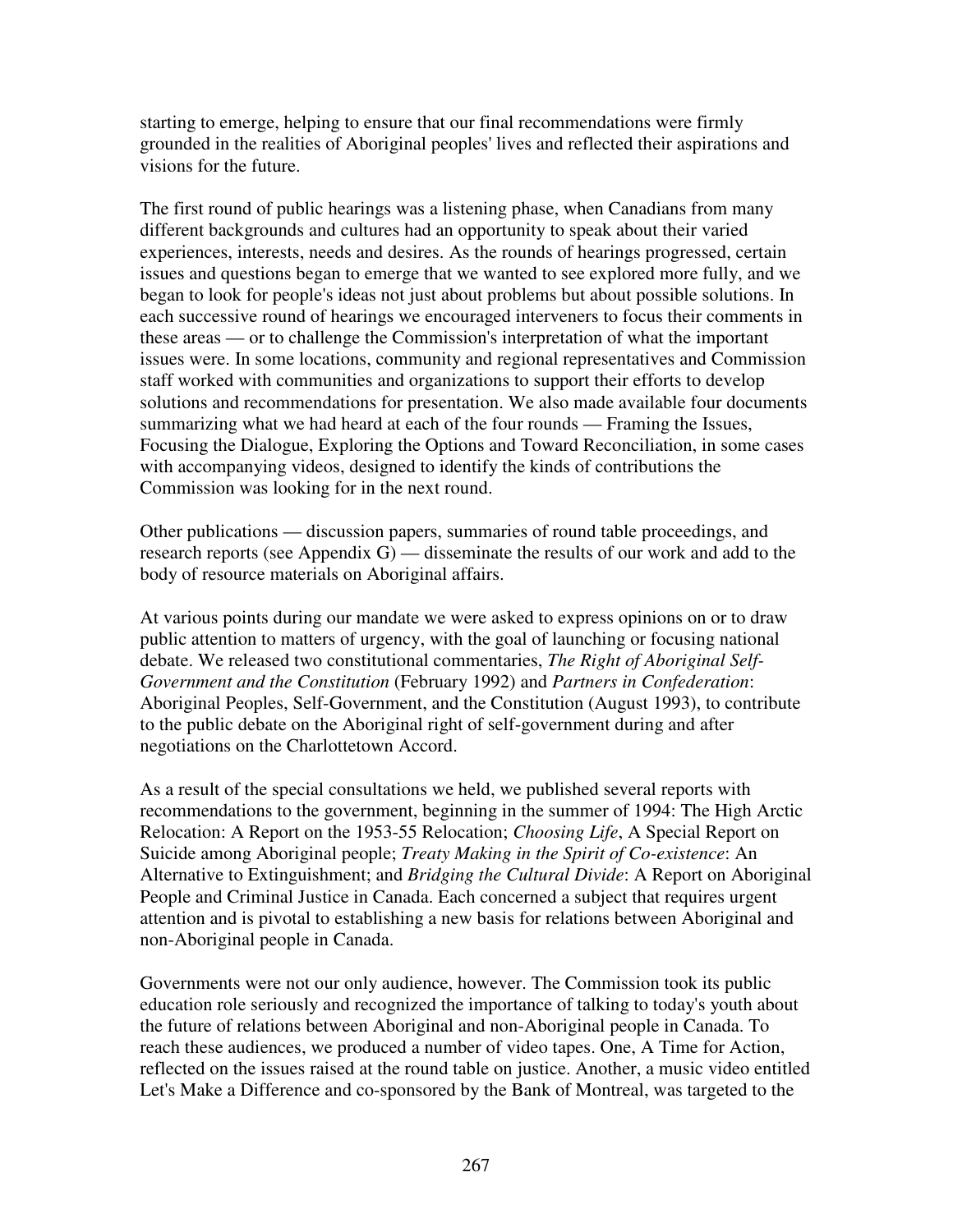starting to emerge, helping to ensure that our final recommendations were firmly grounded in the realities of Aboriginal peoples' lives and reflected their aspirations and visions for the future.

The first round of public hearings was a listening phase, when Canadians from many different backgrounds and cultures had an opportunity to speak about their varied experiences, interests, needs and desires. As the rounds of hearings progressed, certain issues and questions began to emerge that we wanted to see explored more fully, and we began to look for people's ideas not just about problems but about possible solutions. In each successive round of hearings we encouraged interveners to focus their comments in these areas — or to challenge the Commission's interpretation of what the important issues were. In some locations, community and regional representatives and Commission staff worked with communities and organizations to support their efforts to develop solutions and recommendations for presentation. We also made available four documents summarizing what we had heard at each of the four rounds — Framing the Issues, Focusing the Dialogue, Exploring the Options and Toward Reconciliation, in some cases with accompanying videos, designed to identify the kinds of contributions the Commission was looking for in the next round.

Other publications — discussion papers, summaries of round table proceedings, and research reports (see Appendix G) — disseminate the results of our work and add to the body of resource materials on Aboriginal affairs.

At various points during our mandate we were asked to express opinions on or to draw public attention to matters of urgency, with the goal of launching or focusing national debate. We released two constitutional commentaries, *The Right of Aboriginal Self-Government and the Constitution* (February 1992) and *Partners in Confederation*: Aboriginal Peoples, Self-Government, and the Constitution (August 1993), to contribute to the public debate on the Aboriginal right of self-government during and after negotiations on the Charlottetown Accord.

As a result of the special consultations we held, we published several reports with recommendations to the government, beginning in the summer of 1994: The High Arctic Relocation: A Report on the 1953-55 Relocation; *Choosing Life*, A Special Report on Suicide among Aboriginal people; *Treaty Making in the Spirit of Co-existence*: An Alternative to Extinguishment; and *Bridging the Cultural Divide*: A Report on Aboriginal People and Criminal Justice in Canada. Each concerned a subject that requires urgent attention and is pivotal to establishing a new basis for relations between Aboriginal and non-Aboriginal people in Canada.

Governments were not our only audience, however. The Commission took its public education role seriously and recognized the importance of talking to today's youth about the future of relations between Aboriginal and non-Aboriginal people in Canada. To reach these audiences, we produced a number of video tapes. One, A Time for Action, reflected on the issues raised at the round table on justice. Another, a music video entitled Let's Make a Difference and co-sponsored by the Bank of Montreal, was targeted to the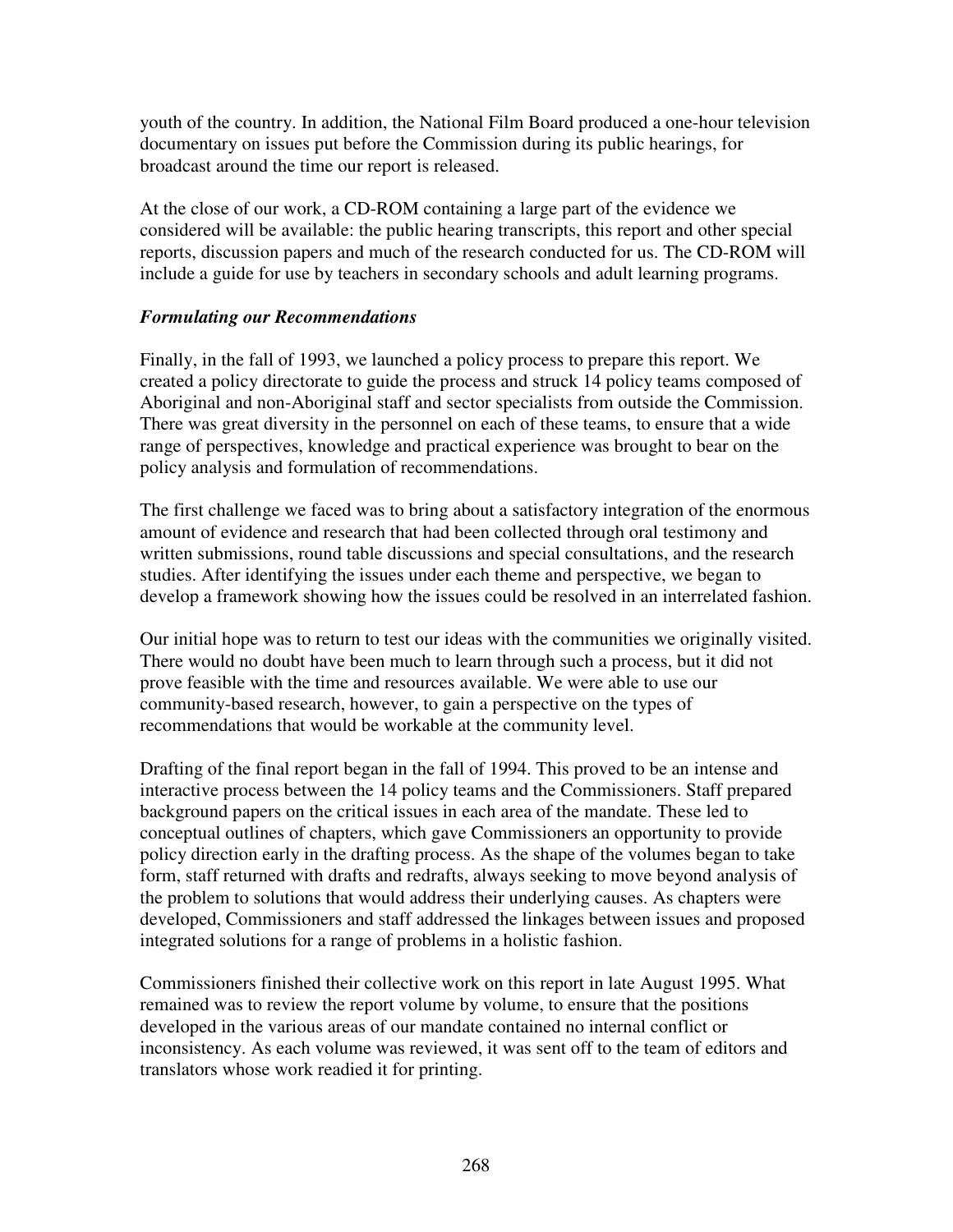youth of the country. In addition, the National Film Board produced a one-hour television documentary on issues put before the Commission during its public hearings, for broadcast around the time our report is released.

At the close of our work, a CD-ROM containing a large part of the evidence we considered will be available: the public hearing transcripts, this report and other special reports, discussion papers and much of the research conducted for us. The CD-ROM will include a guide for use by teachers in secondary schools and adult learning programs.

## *Formulating our Recommendations*

Finally, in the fall of 1993, we launched a policy process to prepare this report. We created a policy directorate to guide the process and struck 14 policy teams composed of Aboriginal and non-Aboriginal staff and sector specialists from outside the Commission. There was great diversity in the personnel on each of these teams, to ensure that a wide range of perspectives, knowledge and practical experience was brought to bear on the policy analysis and formulation of recommendations.

The first challenge we faced was to bring about a satisfactory integration of the enormous amount of evidence and research that had been collected through oral testimony and written submissions, round table discussions and special consultations, and the research studies. After identifying the issues under each theme and perspective, we began to develop a framework showing how the issues could be resolved in an interrelated fashion.

Our initial hope was to return to test our ideas with the communities we originally visited. There would no doubt have been much to learn through such a process, but it did not prove feasible with the time and resources available. We were able to use our community-based research, however, to gain a perspective on the types of recommendations that would be workable at the community level.

Drafting of the final report began in the fall of 1994. This proved to be an intense and interactive process between the 14 policy teams and the Commissioners. Staff prepared background papers on the critical issues in each area of the mandate. These led to conceptual outlines of chapters, which gave Commissioners an opportunity to provide policy direction early in the drafting process. As the shape of the volumes began to take form, staff returned with drafts and redrafts, always seeking to move beyond analysis of the problem to solutions that would address their underlying causes. As chapters were developed, Commissioners and staff addressed the linkages between issues and proposed integrated solutions for a range of problems in a holistic fashion.

Commissioners finished their collective work on this report in late August 1995. What remained was to review the report volume by volume, to ensure that the positions developed in the various areas of our mandate contained no internal conflict or inconsistency. As each volume was reviewed, it was sent off to the team of editors and translators whose work readied it for printing.